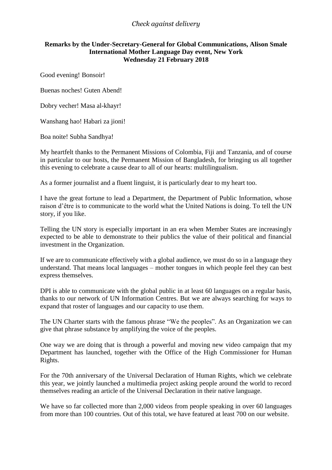## *Check against delivery*

## **Remarks by the Under-Secretary-General for Global Communications, Alison Smale International Mother Language Day event, New York Wednesday 21 February 2018**

Good evening! Bonsoir!

Buenas noches! Guten Abend!

Dobry vecher! Masa al-khayr!

Wanshang hao! Habari za jioni!

Boa noite! Subha Sandhya!

My heartfelt thanks to the Permanent Missions of Colombia, Fiji and Tanzania, and of course in particular to our hosts, the Permanent Mission of Bangladesh, for bringing us all together this evening to celebrate a cause dear to all of our hearts: multilingualism.

As a former journalist and a fluent linguist, it is particularly dear to my heart too.

I have the great fortune to lead a Department, the Department of Public Information, whose raison d'être is to communicate to the world what the United Nations is doing. To tell the UN story, if you like.

Telling the UN story is especially important in an era when Member States are increasingly expected to be able to demonstrate to their publics the value of their political and financial investment in the Organization.

If we are to communicate effectively with a global audience, we must do so in a language they understand. That means local languages – mother tongues in which people feel they can best express themselves.

DPI is able to communicate with the global public in at least 60 languages on a regular basis, thanks to our network of UN Information Centres. But we are always searching for ways to expand that roster of languages and our capacity to use them.

The UN Charter starts with the famous phrase "We the peoples". As an Organization we can give that phrase substance by amplifying the voice of the peoples.

One way we are doing that is through a powerful and moving new video campaign that my Department has launched, together with the Office of the High Commissioner for Human Rights.

For the 70th anniversary of the Universal Declaration of Human Rights, which we celebrate this year, we jointly launched a multimedia project asking people around the world to record themselves reading an article of the Universal Declaration in their native language.

We have so far collected more than 2,000 videos from people speaking in over 60 languages from more than 100 countries. Out of this total, we have featured at least 700 on our website.